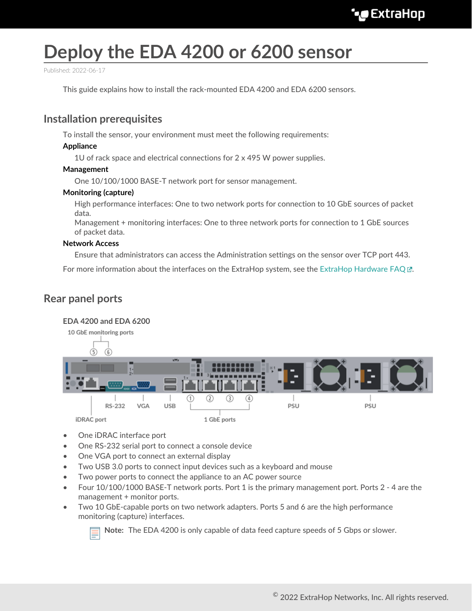# **Deploy the EDA 4200 or 6200 sensor**

Published: 2022-06-17

This guide explains how to install the rack-mounted EDA 4200 and EDA 6200 sensors.

## **Installation prerequisites**

To install the sensor, your environment must meet the following requirements:

#### **Appliance**

1U of rack space and electrical connections for 2 x 495 W power supplies.

#### **Management**

One 10/100/1000 BASE-T network port for sensor management.

#### **Monitoring (capture)**

High performance interfaces: One to two network ports for connection to 10 GbE sources of packet data.

Management + monitoring interfaces: One to three network ports for connection to 1 GbE sources of packet data.

#### **Network Access**

Ensure that administrators can access the Administration settings on the sensor over TCP port 443.

For more information about the interfaces on the ExtraHop system, see the [ExtraHop Hardware FAQ .](https://docs.extrahop.com/8.9/app-hw-faq/#extrahop-hardware-faq)..

## **Rear panel ports**

#### **EDA 4200 and EDA 6200**



- One iDRAC interface port
- One RS-232 serial port to connect a console device
- One VGA port to connect an external display
- Two USB 3.0 ports to connect input devices such as a keyboard and mouse
- Two power ports to connect the appliance to an AC power source
- Four 10/100/1000 BASE-T network ports. Port 1 is the primary management port. Ports 2 4 are the management + monitor ports.
- Two 10 GbE-capable ports on two network adapters. Ports 5 and 6 are the high performance monitoring (capture) interfaces.



**Note:** The EDA 4200 is only capable of data feed capture speeds of 5 Gbps or slower.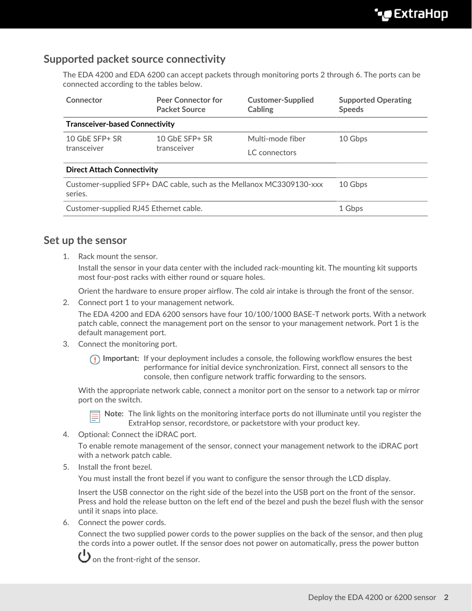# **Supported packet source connectivity**

The EDA 4200 and EDA 6200 can accept packets through monitoring ports 2 through 6. The ports can be connected according to the tables below.

| Connector                                                                       | <b>Peer Connector for</b><br><b>Packet Source</b> | <b>Customer-Supplied</b><br>Cabling | <b>Supported Operating</b><br><b>Speeds</b> |
|---------------------------------------------------------------------------------|---------------------------------------------------|-------------------------------------|---------------------------------------------|
| <b>Transceiver-based Connectivity</b>                                           |                                                   |                                     |                                             |
| 10 $G$ bE SFP $+$ SR<br>transceiver                                             | 10 $G$ bE SFP+ SR<br>transceiver                  | Multi-mode fiber                    | 10 Gbps                                     |
|                                                                                 |                                                   | LC connectors                       |                                             |
| <b>Direct Attach Connectivity</b>                                               |                                                   |                                     |                                             |
| Customer-supplied SFP+ DAC cable, such as the Mellanox MC3309130-xxx<br>series. |                                                   |                                     | 10 Gbps                                     |
| Customer-supplied RJ45 Ethernet cable.                                          |                                                   |                                     | 1 Gbps                                      |

## **Set up the sensor**

1. Rack mount the sensor.

Install the sensor in your data center with the included rack-mounting kit. The mounting kit supports most four-post racks with either round or square holes.

Orient the hardware to ensure proper airflow. The cold air intake is through the front of the sensor.

2. Connect port 1 to your management network.

The EDA 4200 and EDA 6200 sensors have four 10/100/1000 BASE-T network ports. With a network patch cable, connect the management port on the sensor to your management network. Port 1 is the default management port.

3. Connect the monitoring port.

**Important:** If your deployment includes a console, the following workflow ensures the best performance for initial device synchronization. First, connect all sensors to the console, then configure network traffic forwarding to the sensors.

With the appropriate network cable, connect a monitor port on the sensor to a network tap or mirror port on the switch.



**Note:** The link lights on the monitoring interface ports do not illuminate until you register the ExtraHop sensor, recordstore, or packetstore with your product key.

4. Optional: Connect the iDRAC port.

To enable remote management of the sensor, connect your management network to the iDRAC port with a network patch cable.

5. Install the front bezel.

You must install the front bezel if you want to configure the sensor through the LCD display.

Insert the USB connector on the right side of the bezel into the USB port on the front of the sensor. Press and hold the release button on the left end of the bezel and push the bezel flush with the sensor until it snaps into place.

6. Connect the power cords.

Connect the two supplied power cords to the power supplies on the back of the sensor, and then plug the cords into a power outlet. If the sensor does not power on automatically, press the power button



 $\bigcup$  on the front-right of the sensor.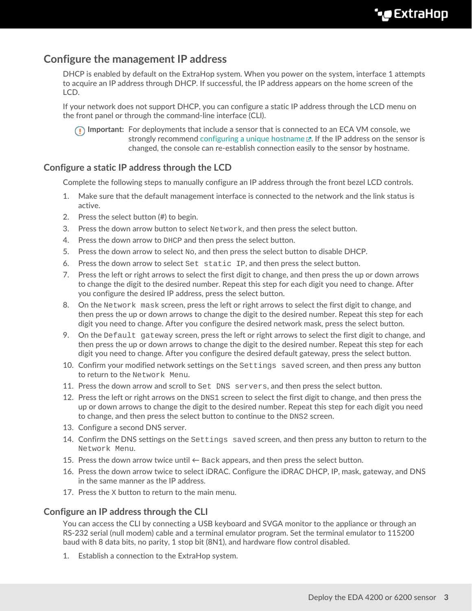# **Configure the management IP address**

DHCP is enabled by default on the ExtraHop system. When you power on the system, interface 1 attempts to acquire an IP address through DHCP. If successful, the IP address appears on the home screen of the LCD.

If your network does not support DHCP, you can configure a static IP address through the LCD menu on the front panel or through the command-line interface (CLI).

**Important:** For deployments that include a sensor that is connected to an ECA VM console, we strongly recommend configuring a unique hostname  $\mathbb E$ . If the IP address on the sensor is changed, the console can re-establish connection easily to the sensor by hostname.

## **Configure a static IP address through the LCD**

Complete the following steps to manually configure an IP address through the front bezel LCD controls.

- 1. Make sure that the default management interface is connected to the network and the link status is active.
- 2. Press the select button (#) to begin.
- 3. Press the down arrow button to select Network, and then press the select button.
- 4. Press the down arrow to DHCP and then press the select button.
- 5. Press the down arrow to select  $N_{\text{O}}$ , and then press the select button to disable DHCP.
- 6. Press the down arrow to select Set static IP, and then press the select button.
- 7. Press the left or right arrows to select the first digit to change, and then press the up or down arrows to change the digit to the desired number. Repeat this step for each digit you need to change. After you configure the desired IP address, press the select button.
- 8. On the Network mask screen, press the left or right arrows to select the first digit to change, and then press the up or down arrows to change the digit to the desired number. Repeat this step for each digit you need to change. After you configure the desired network mask, press the select button.
- 9. On the Default gateway screen, press the left or right arrows to select the first digit to change, and then press the up or down arrows to change the digit to the desired number. Repeat this step for each digit you need to change. After you configure the desired default gateway, press the select button.
- 10. Confirm your modified network settings on the Settings saved screen, and then press any button to return to the Network Menu.
- 11. Press the down arrow and scroll to Set DNS servers, and then press the select button.
- 12. Press the left or right arrows on the DNS1 screen to select the first digit to change, and then press the up or down arrows to change the digit to the desired number. Repeat this step for each digit you need to change, and then press the select button to continue to the DNS2 screen.
- 13. Configure a second DNS server.
- 14. Confirm the DNS settings on the Settings saved screen, and then press any button to return to the Network Menu.
- 15. Press the down arrow twice until  $\leftarrow$  Back appears, and then press the select button.
- 16. Press the down arrow twice to select iDRAC. Configure the iDRAC DHCP, IP, mask, gateway, and DNS in the same manner as the IP address.
- 17. Press the X button to return to the main menu.

### **Configure an IP address through the CLI**

You can access the CLI by connecting a USB keyboard and SVGA monitor to the appliance or through an RS-232 serial (null modem) cable and a terminal emulator program. Set the terminal emulator to 115200 baud with 8 data bits, no parity, 1 stop bit (8N1), and hardware flow control disabled.

1. Establish a connection to the ExtraHop system.